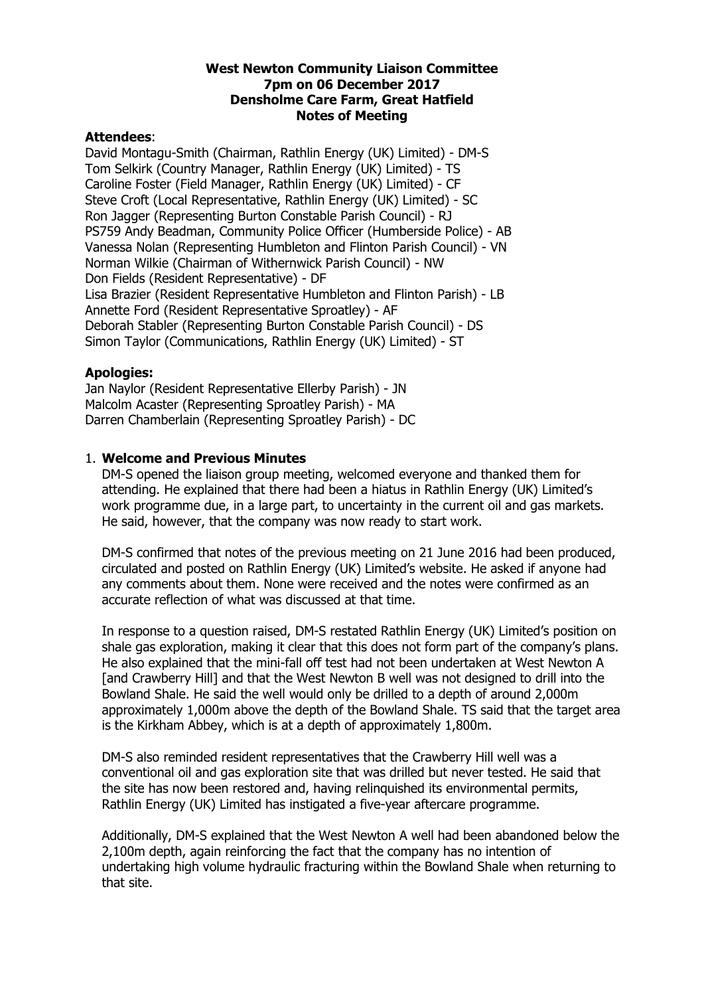#### **West Newton Community Liaison Committee 7pm on 06 December 2017 Densholme Care Farm, Great Hatfield Notes of Meeting**

#### **Attendees**:

David Montagu-Smith (Chairman, Rathlin Energy (UK) Limited) - DM-S Tom Selkirk (Country Manager, Rathlin Energy (UK) Limited) - TS Caroline Foster (Field Manager, Rathlin Energy (UK) Limited) - CF Steve Croft (Local Representative, Rathlin Energy (UK) Limited) - SC Ron Jagger (Representing Burton Constable Parish Council) - RJ PS759 Andy Beadman, Community Police Officer (Humberside Police) - AB Vanessa Nolan (Representing Humbleton and Flinton Parish Council) - VN Norman Wilkie (Chairman of Withernwick Parish Council) - NW Don Fields (Resident Representative) - DF Lisa Brazier (Resident Representative Humbleton and Flinton Parish) - LB Annette Ford (Resident Representative Sproatley) - AF Deborah Stabler (Representing Burton Constable Parish Council) - DS Simon Taylor (Communications, Rathlin Energy (UK) Limited) - ST

#### **Apologies:**

Jan Naylor (Resident Representative Ellerby Parish) - JN Malcolm Acaster (Representing Sproatley Parish) - MA Darren Chamberlain (Representing Sproatley Parish) - DC

#### 1. **Welcome and Previous Minutes**

DM-S opened the liaison group meeting, welcomed everyone and thanked them for attending. He explained that there had been a hiatus in Rathlin Energy (UK) Limited's work programme due, in a large part, to uncertainty in the current oil and gas markets. He said, however, that the company was now ready to start work.

DM-S confirmed that notes of the previous meeting on 21 June 2016 had been produced, circulated and posted on Rathlin Energy (UK) Limited's website. He asked if anyone had any comments about them. None were received and the notes were confirmed as an accurate reflection of what was discussed at that time.

In response to a question raised, DM-S restated Rathlin Energy (UK) Limited's position on shale gas exploration, making it clear that this does not form part of the company's plans. He also explained that the mini-fall off test had not been undertaken at West Newton A [and Crawberry Hill] and that the West Newton B well was not designed to drill into the Bowland Shale. He said the well would only be drilled to a depth of around 2,000m approximately 1,000m above the depth of the Bowland Shale. TS said that the target area is the Kirkham Abbey, which is at a depth of approximately 1,800m.

DM-S also reminded resident representatives that the Crawberry Hill well was a conventional oil and gas exploration site that was drilled but never tested. He said that the site has now been restored and, having relinquished its environmental permits, Rathlin Energy (UK) Limited has instigated a five-year aftercare programme.

Additionally, DM-S explained that the West Newton A well had been abandoned below the 2,100m depth, again reinforcing the fact that the company has no intention of undertaking high volume hydraulic fracturing within the Bowland Shale when returning to that site.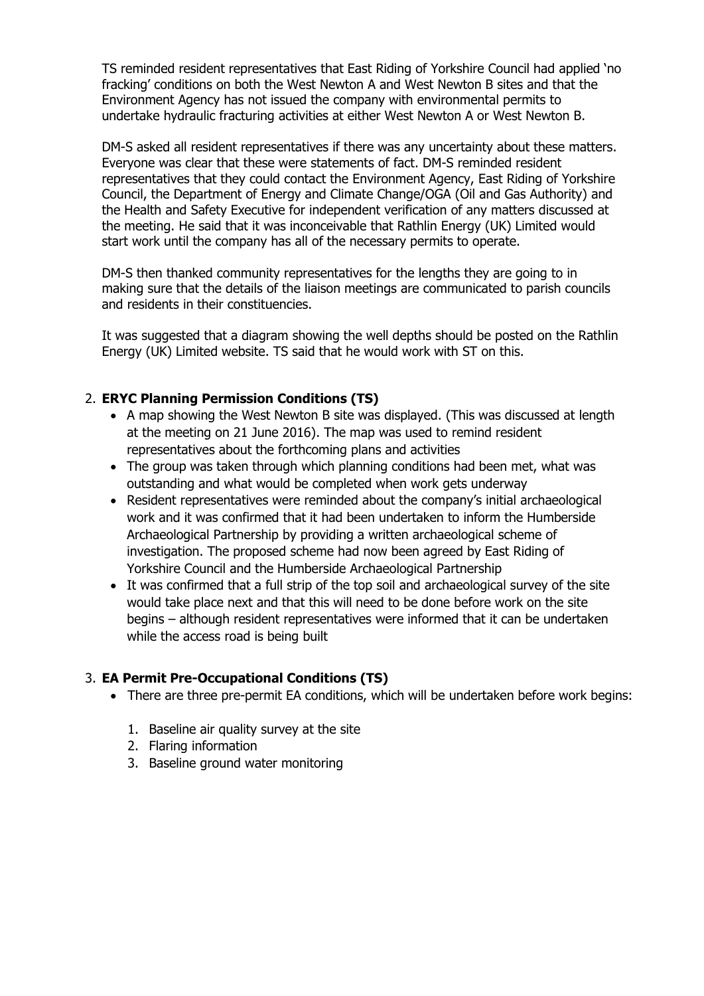TS reminded resident representatives that East Riding of Yorkshire Council had applied 'no fracking' conditions on both the West Newton A and West Newton B sites and that the Environment Agency has not issued the company with environmental permits to undertake hydraulic fracturing activities at either West Newton A or West Newton B.

DM-S asked all resident representatives if there was any uncertainty about these matters. Everyone was clear that these were statements of fact. DM-S reminded resident representatives that they could contact the Environment Agency, East Riding of Yorkshire Council, the Department of Energy and Climate Change/OGA (Oil and Gas Authority) and the Health and Safety Executive for independent verification of any matters discussed at the meeting. He said that it was inconceivable that Rathlin Energy (UK) Limited would start work until the company has all of the necessary permits to operate.

DM-S then thanked community representatives for the lengths they are going to in making sure that the details of the liaison meetings are communicated to parish councils and residents in their constituencies.

It was suggested that a diagram showing the well depths should be posted on the Rathlin Energy (UK) Limited website. TS said that he would work with ST on this.

### 2. **ERYC Planning Permission Conditions (TS)**

- A map showing the West Newton B site was displayed. (This was discussed at length at the meeting on 21 June 2016). The map was used to remind resident representatives about the forthcoming plans and activities
- The group was taken through which planning conditions had been met, what was outstanding and what would be completed when work gets underway
- Resident representatives were reminded about the company's initial archaeological work and it was confirmed that it had been undertaken to inform the Humberside Archaeological Partnership by providing a written archaeological scheme of investigation. The proposed scheme had now been agreed by East Riding of Yorkshire Council and the Humberside Archaeological Partnership
- It was confirmed that a full strip of the top soil and archaeological survey of the site would take place next and that this will need to be done before work on the site begins – although resident representatives were informed that it can be undertaken while the access road is being built

### 3. **EA Permit Pre-Occupational Conditions (TS)**

- There are three pre-permit EA conditions, which will be undertaken before work begins:
	- 1. Baseline air quality survey at the site
	- 2. Flaring information
	- 3. Baseline ground water monitoring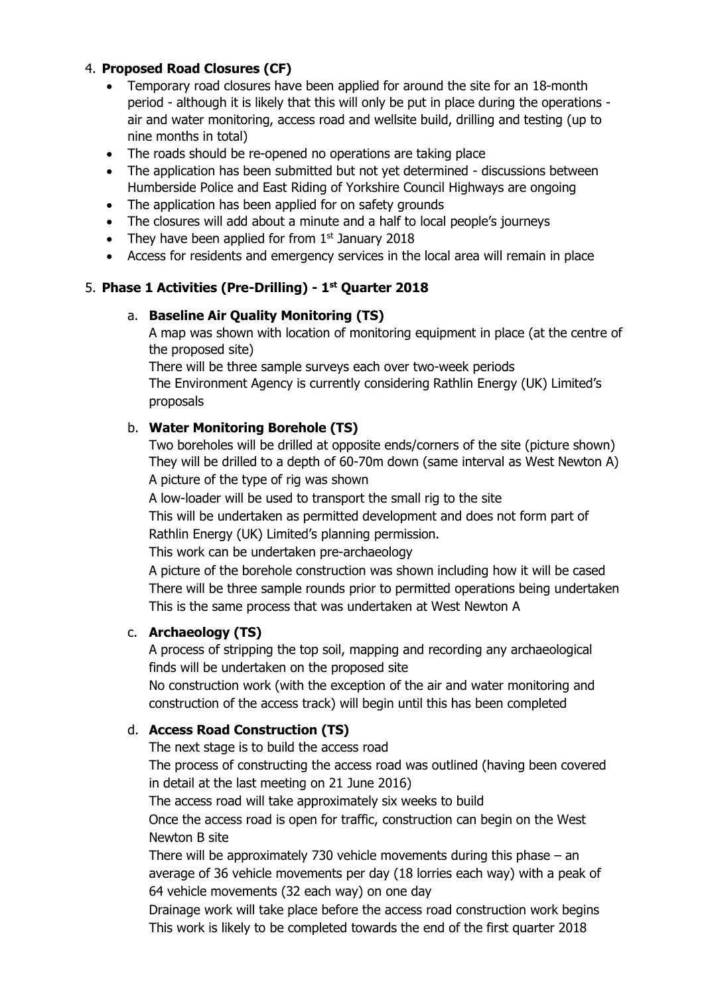## 4. **Proposed Road Closures (CF)**

- Temporary road closures have been applied for around the site for an 18-month period - although it is likely that this will only be put in place during the operations air and water monitoring, access road and wellsite build, drilling and testing (up to nine months in total)
- The roads should be re-opened no operations are taking place
- The application has been submitted but not yet determined discussions between Humberside Police and East Riding of Yorkshire Council Highways are ongoing
- The application has been applied for on safety grounds
- The closures will add about a minute and a half to local people's journeys
- They have been applied for from  $1<sup>st</sup>$  January 2018
- Access for residents and emergency services in the local area will remain in place

# 5. **Phase 1 Activities (Pre-Drilling) - 1 st Quarter 2018**

## a. **Baseline Air Quality Monitoring (TS)**

A map was shown with location of monitoring equipment in place (at the centre of the proposed site)

There will be three sample surveys each over two-week periods The Environment Agency is currently considering Rathlin Energy (UK) Limited's proposals

# b. **Water Monitoring Borehole (TS)**

Two boreholes will be drilled at opposite ends/corners of the site (picture shown) They will be drilled to a depth of 60-70m down (same interval as West Newton A) A picture of the type of rig was shown

A low-loader will be used to transport the small rig to the site

This will be undertaken as permitted development and does not form part of Rathlin Energy (UK) Limited's planning permission.

This work can be undertaken pre-archaeology

A picture of the borehole construction was shown including how it will be cased There will be three sample rounds prior to permitted operations being undertaken This is the same process that was undertaken at West Newton A

### c. **Archaeology (TS)**

A process of stripping the top soil, mapping and recording any archaeological finds will be undertaken on the proposed site

No construction work (with the exception of the air and water monitoring and construction of the access track) will begin until this has been completed

### d. **Access Road Construction (TS)**

The next stage is to build the access road

The process of constructing the access road was outlined (having been covered in detail at the last meeting on 21 June 2016)

The access road will take approximately six weeks to build

Once the access road is open for traffic, construction can begin on the West Newton B site

There will be approximately 730 vehicle movements during this phase  $-$  an average of 36 vehicle movements per day (18 lorries each way) with a peak of 64 vehicle movements (32 each way) on one day

Drainage work will take place before the access road construction work begins This work is likely to be completed towards the end of the first quarter 2018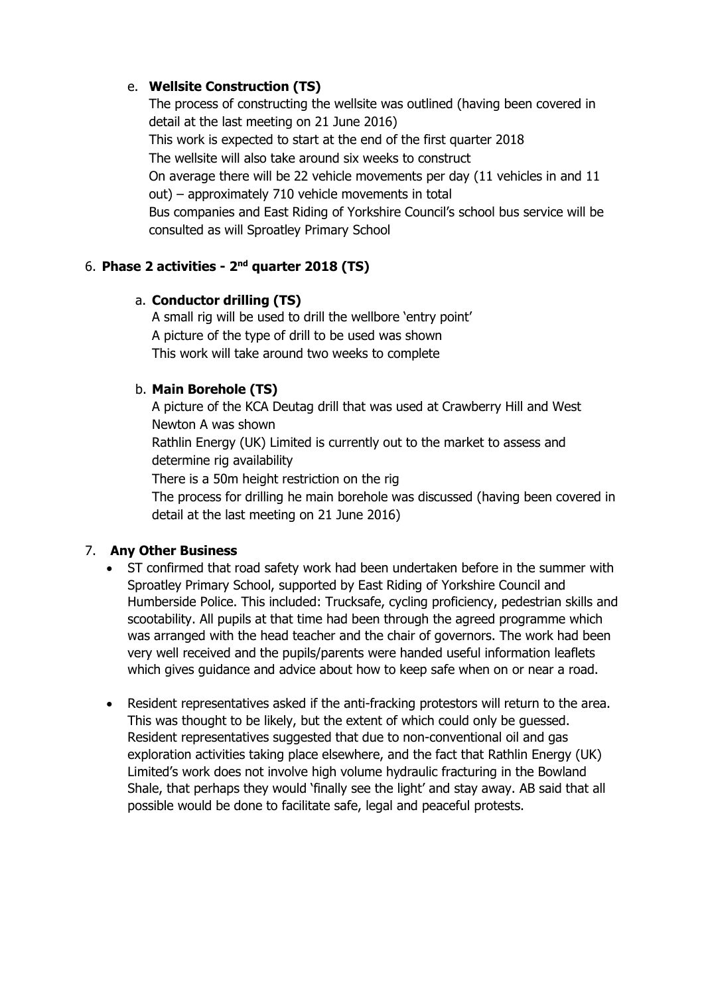# e. **Wellsite Construction (TS)**

The process of constructing the wellsite was outlined (having been covered in detail at the last meeting on 21 June 2016) This work is expected to start at the end of the first quarter 2018 The wellsite will also take around six weeks to construct On average there will be 22 vehicle movements per day (11 vehicles in and 11 out) – approximately 710 vehicle movements in total Bus companies and East Riding of Yorkshire Council's school bus service will be consulted as will Sproatley Primary School

# 6. **Phase 2 activities - 2 nd quarter 2018 (TS)**

## a. **Conductor drilling (TS)**

A small rig will be used to drill the wellbore 'entry point' A picture of the type of drill to be used was shown This work will take around two weeks to complete

# b. **Main Borehole (TS)**

A picture of the KCA Deutag drill that was used at Crawberry Hill and West Newton A was shown

Rathlin Energy (UK) Limited is currently out to the market to assess and determine rig availability

There is a 50m height restriction on the rig

The process for drilling he main borehole was discussed (having been covered in detail at the last meeting on 21 June 2016)

# 7. **Any Other Business**

- ST confirmed that road safety work had been undertaken before in the summer with Sproatley Primary School, supported by East Riding of Yorkshire Council and Humberside Police. This included: Trucksafe, cycling proficiency, pedestrian skills and scootability. All pupils at that time had been through the agreed programme which was arranged with the head teacher and the chair of governors. The work had been very well received and the pupils/parents were handed useful information leaflets which gives guidance and advice about how to keep safe when on or near a road.
- Resident representatives asked if the anti-fracking protestors will return to the area. This was thought to be likely, but the extent of which could only be guessed. Resident representatives suggested that due to non-conventional oil and gas exploration activities taking place elsewhere, and the fact that Rathlin Energy (UK) Limited's work does not involve high volume hydraulic fracturing in the Bowland Shale, that perhaps they would 'finally see the light' and stay away. AB said that all possible would be done to facilitate safe, legal and peaceful protests.